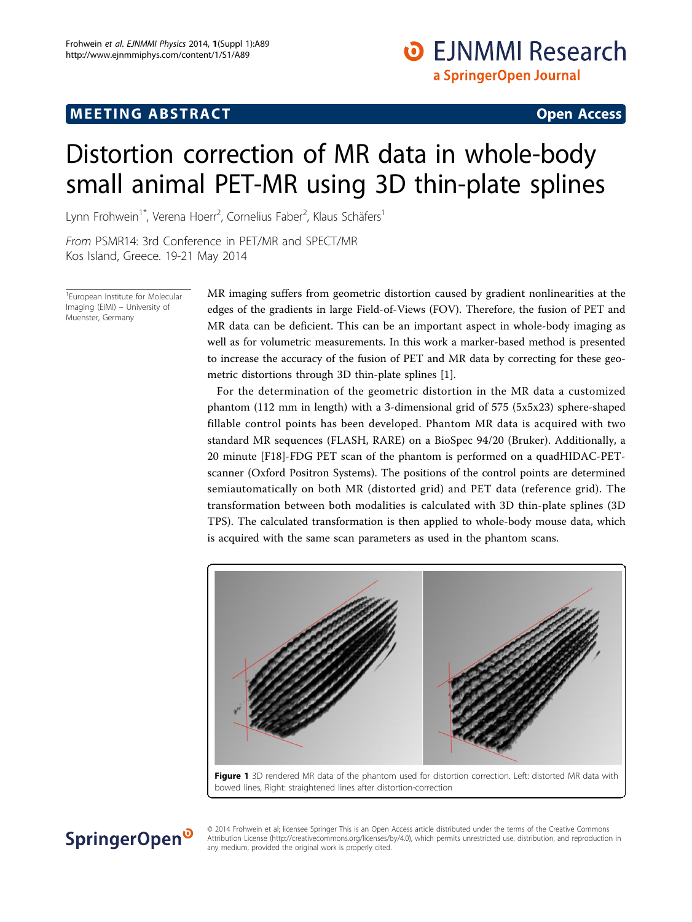## <span id="page-0-0"></span> $\mathbf{F} = \mathbf{F} \mathbf{F} \mathbf{F}$  , which are the set of the set of the set of the set of the set of the set of the set of the set of the set of the set of the set of the set of the set of the set of the set of the set of the s

### **O** EJNMMI Research a SpringerOpen Journal

# Distortion correction of MR data in whole-body small animal PET-MR using 3D thin-plate splines

Lynn Frohwein<sup>1\*</sup>, Verena Hoerr<sup>2</sup>, Cornelius Faber<sup>2</sup>, Klaus Schäfers<sup>1</sup>

From PSMR14: 3rd Conference in PET/MR and SPECT/MR Kos Island, Greece. 19-21 May 2014

1 European Institute for Molecular Imaging (EIMI) – University of Muenster, Germany

SpringerOpen<sup>®</sup>

MR imaging suffers from geometric distortion caused by gradient nonlinearities at the edges of the gradients in large Field-of-Views (FOV). Therefore, the fusion of PET and MR data can be deficient. This can be an important aspect in whole-body imaging as well as for volumetric measurements. In this work a marker-based method is presented to increase the accuracy of the fusion of PET and MR data by correcting for these geometric distortions through 3D thin-plate splines [\[1](#page-1-0)].

For the determination of the geometric distortion in the MR data a customized phantom (112 mm in length) with a 3-dimensional grid of 575 (5x5x23) sphere-shaped fillable control points has been developed. Phantom MR data is acquired with two standard MR sequences (FLASH, RARE) on a BioSpec 94/20 (Bruker). Additionally, a 20 minute [F18]-FDG PET scan of the phantom is performed on a quadHIDAC-PETscanner (Oxford Positron Systems). The positions of the control points are determined semiautomatically on both MR (distorted grid) and PET data (reference grid). The transformation between both modalities is calculated with 3D thin-plate splines (3D TPS). The calculated transformation is then applied to whole-body mouse data, which is acquired with the same scan parameters as used in the phantom scans.





© 2014 Frohwein et al; licensee Springer This is an Open Access article distributed under the terms of the Creative Commons Attribution License [\(http://creativecommons.org/licenses/by/4.0](http://creativecommons.org/licenses/by/4.0)), which permits unrestricted use, distribution, and reproduction in any medium, provided the original work is properly cited.